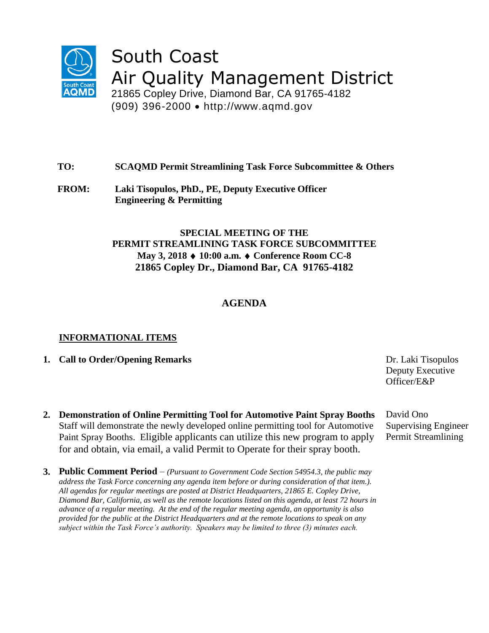

# South Coast Air Quality Management District

21865 Copley Drive, Diamond Bar, CA 91765-4182 (909) 396-2000 http://www.aqmd.gov

### **TO: SCAQMD Permit Streamlining Task Force Subcommittee & Others**

**FROM: Laki Tisopulos, PhD., PE, Deputy Executive Officer Engineering & Permitting**

## **SPECIAL MEETING OF THE PERMIT STREAMLINING TASK FORCE SUBCOMMITTEE May 3, 2018 10:00 a.m. Conference Room CC-8 21865 Copley Dr., Diamond Bar, CA 91765-4182**

# **AGENDA**

#### **INFORMATIONAL ITEMS**

- **1. Call to Order/Opening Remarks** Dr. Laki Tisopulos
- **2. Demonstration of Online Permitting Tool for Automotive Paint Spray Booths** Staff will demonstrate the newly developed online permitting tool for Automotive Paint Spray Booths. Eligible applicants can utilize this new program to apply for and obtain, via email, a valid Permit to Operate for their spray booth.
- **3. Public Comment Period**  *(Pursuant to Government Code Section 54954.3, the public may address the Task Force concerning any agenda item before or during consideration of that item.). All agendas for regular meetings are posted at District Headquarters, 21865 E. Copley Drive, Diamond Bar, California, as well as the remote locations listed on this agenda, at least 72 hours in advance of a regular meeting. At the end of the regular meeting agenda, an opportunity is also provided for the public at the District Headquarters and at the remote locations to speak on any subject within the Task Force's authority. Speakers may be limited to three (3) minutes each.*

Deputy Executive Officer/E&P

David Ono Supervising Engineer Permit Streamlining